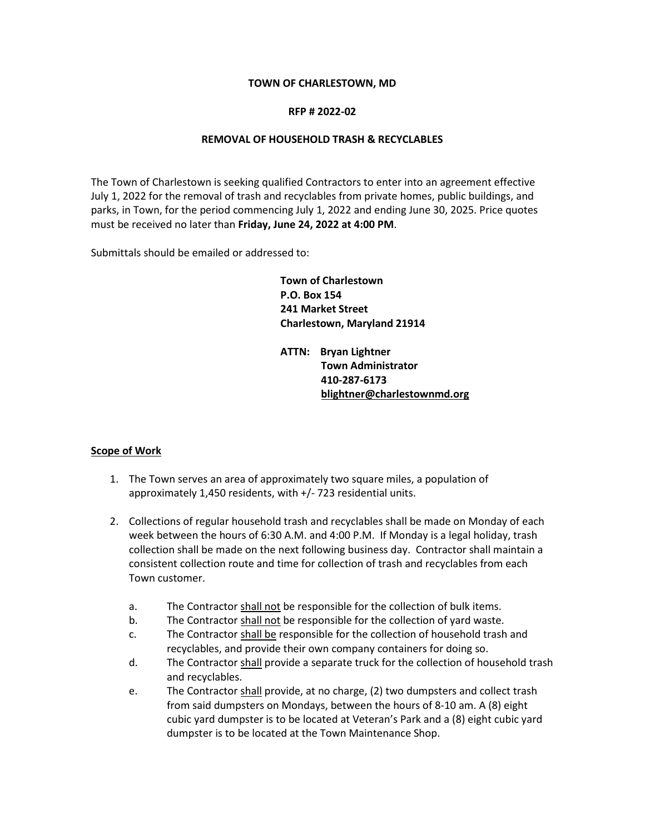#### **TOWN OF CHARLESTOWN, MD**

#### **RFP # 2022-02**

#### **REMOVAL OF HOUSEHOLD TRASH & RECYCLABLES**

The Town of Charlestown is seeking qualified Contractors to enter into an agreement effective July 1, 2022 for the removal of trash and recyclables from private homes, public buildings, and parks, in Town, for the period commencing July 1, 2022 and ending June 30, 2025. Price quotes must be received no later than **Friday, June 24, 2022 at 4:00 PM**.

Submittals should be emailed or addressed to:

**Town of Charlestown P.O. Box 154 241 Market Street Charlestown, Maryland 21914**

**ATTN: Bryan Lightner Town Administrator 410-287-6173 [blightner@charlestownmd.org](mailto:blightner@charlestownmd.org)**

## **Scope of Work**

- 1. The Town serves an area of approximately two square miles, a population of approximately 1,450 residents, with +/- 723 residential units.
- 2. Collections of regular household trash and recyclables shall be made on Monday of each week between the hours of 6:30 A.M. and 4:00 P.M. If Monday is a legal holiday, trash collection shall be made on the next following business day. Contractor shall maintain a consistent collection route and time for collection of trash and recyclables from each Town customer.
	- a. The Contractor shall not be responsible for the collection of bulk items.
	- b. The Contractor shall not be responsible for the collection of yard waste.
	- c. The Contractor shall be responsible for the collection of household trash and recyclables, and provide their own company containers for doing so.
	- d. The Contractor shall provide a separate truck for the collection of household trash and recyclables.
	- e. The Contractor shall provide, at no charge, (2) two dumpsters and collect trash from said dumpsters on Mondays, between the hours of 8-10 am. A (8) eight cubic yard dumpster is to be located at Veteran's Park and a (8) eight cubic yard dumpster is to be located at the Town Maintenance Shop.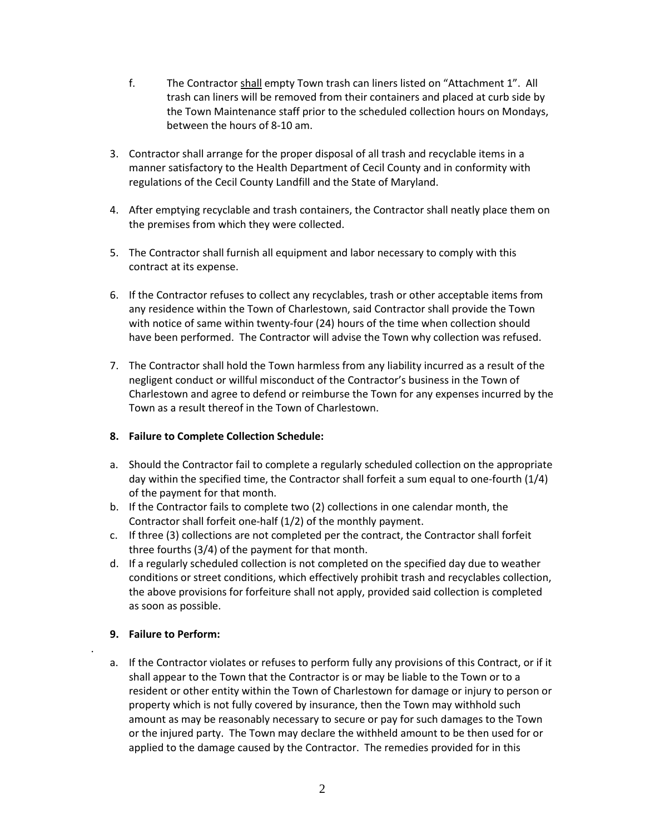- f. The Contractor shall empty Town trash can liners listed on "Attachment 1". All trash can liners will be removed from their containers and placed at curb side by the Town Maintenance staff prior to the scheduled collection hours on Mondays, between the hours of 8-10 am.
- 3. Contractor shall arrange for the proper disposal of all trash and recyclable items in a manner satisfactory to the Health Department of Cecil County and in conformity with regulations of the Cecil County Landfill and the State of Maryland.
- 4. After emptying recyclable and trash containers, the Contractor shall neatly place them on the premises from which they were collected.
- 5. The Contractor shall furnish all equipment and labor necessary to comply with this contract at its expense.
- 6. If the Contractor refuses to collect any recyclables, trash or other acceptable items from any residence within the Town of Charlestown, said Contractor shall provide the Town with notice of same within twenty-four (24) hours of the time when collection should have been performed. The Contractor will advise the Town why collection was refused.
- 7. The Contractor shall hold the Town harmless from any liability incurred as a result of the negligent conduct or willful misconduct of the Contractor's business in the Town of Charlestown and agree to defend or reimburse the Town for any expenses incurred by the Town as a result thereof in the Town of Charlestown.

## **8. Failure to Complete Collection Schedule:**

- a. Should the Contractor fail to complete a regularly scheduled collection on the appropriate day within the specified time, the Contractor shall forfeit a sum equal to one-fourth (1/4) of the payment for that month.
- b. If the Contractor fails to complete two (2) collections in one calendar month, the Contractor shall forfeit one-half (1/2) of the monthly payment.
- c. If three (3) collections are not completed per the contract, the Contractor shall forfeit three fourths (3/4) of the payment for that month.
- d. If a regularly scheduled collection is not completed on the specified day due to weather conditions or street conditions, which effectively prohibit trash and recyclables collection, the above provisions for forfeiture shall not apply, provided said collection is completed as soon as possible.

# **9. Failure to Perform:**

.

a. If the Contractor violates or refuses to perform fully any provisions of this Contract, or if it shall appear to the Town that the Contractor is or may be liable to the Town or to a resident or other entity within the Town of Charlestown for damage or injury to person or property which is not fully covered by insurance, then the Town may withhold such amount as may be reasonably necessary to secure or pay for such damages to the Town or the injured party. The Town may declare the withheld amount to be then used for or applied to the damage caused by the Contractor. The remedies provided for in this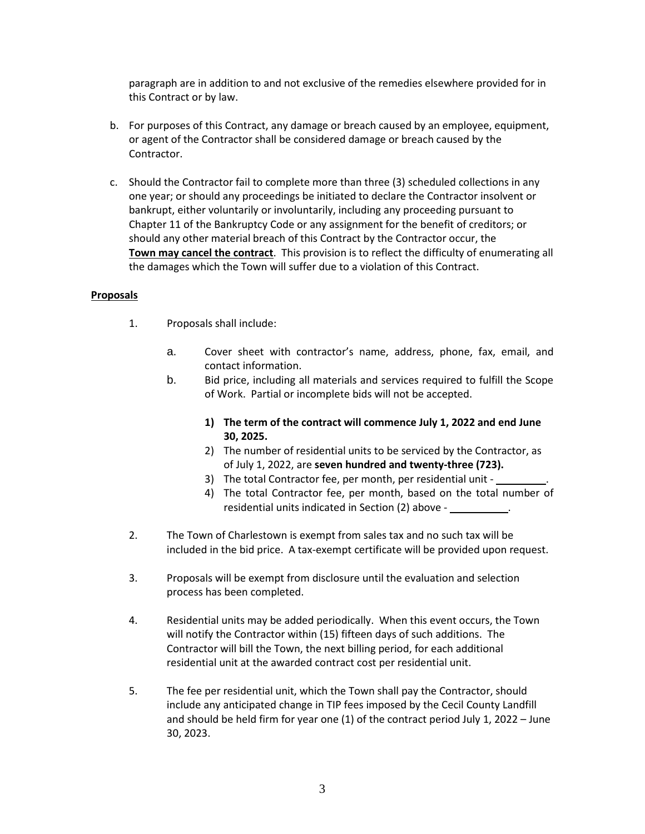paragraph are in addition to and not exclusive of the remedies elsewhere provided for in this Contract or by law.

- b. For purposes of this Contract, any damage or breach caused by an employee, equipment, or agent of the Contractor shall be considered damage or breach caused by the Contractor.
- c. Should the Contractor fail to complete more than three (3) scheduled collections in any one year; or should any proceedings be initiated to declare the Contractor insolvent or bankrupt, either voluntarily or involuntarily, including any proceeding pursuant to Chapter 11 of the Bankruptcy Code or any assignment for the benefit of creditors; or should any other material breach of this Contract by the Contractor occur, the **Town may cancel the contract**. This provision is to reflect the difficulty of enumerating all the damages which the Town will suffer due to a violation of this Contract.

## **Proposals**

- 1. Proposals shall include:
	- a. Cover sheet with contractor's name, address, phone, fax, email, and contact information.
	- b. Bid price, including all materials and services required to fulfill the Scope of Work. Partial or incomplete bids will not be accepted.
		- **1) The term of the contract will commence July 1, 2022 and end June 30, 2025.**
		- 2) The number of residential units to be serviced by the Contractor, as of July 1, 2022, are **seven hundred and twenty-three (723).**
		- 3) The total Contractor fee, per month, per residential unit -
		- 4) The total Contractor fee, per month, based on the total number of residential units indicated in Section (2) above -
- 2. The Town of Charlestown is exempt from sales tax and no such tax will be included in the bid price. A tax-exempt certificate will be provided upon request.
- 3. Proposals will be exempt from disclosure until the evaluation and selection process has been completed.
- 4. Residential units may be added periodically. When this event occurs, the Town will notify the Contractor within (15) fifteen days of such additions. The Contractor will bill the Town, the next billing period, for each additional residential unit at the awarded contract cost per residential unit.
- 5. The fee per residential unit, which the Town shall pay the Contractor, should include any anticipated change in TIP fees imposed by the Cecil County Landfill and should be held firm for year one (1) of the contract period July 1, 2022 – June 30, 2023.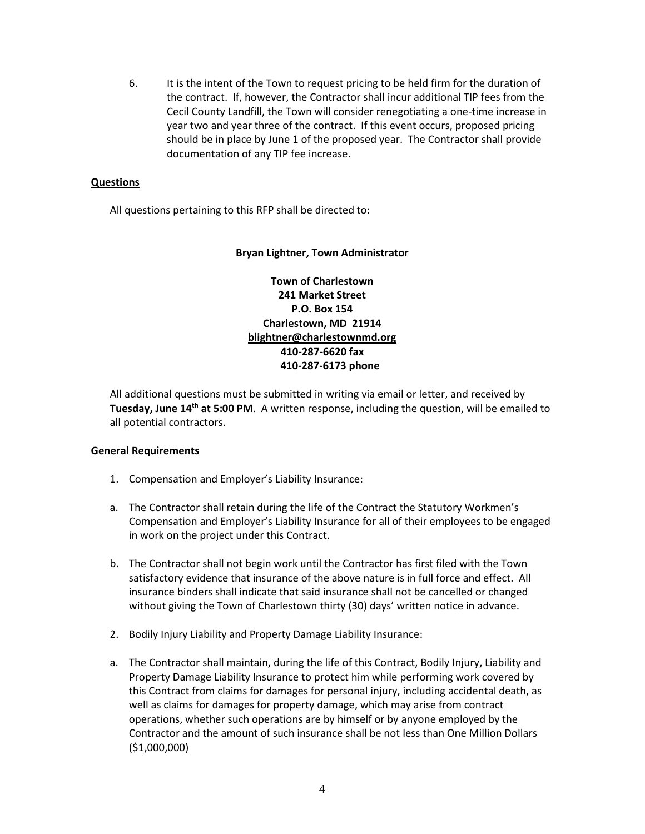6. It is the intent of the Town to request pricing to be held firm for the duration of the contract. If, however, the Contractor shall incur additional TIP fees from the Cecil County Landfill, the Town will consider renegotiating a one-time increase in year two and year three of the contract. If this event occurs, proposed pricing should be in place by June 1 of the proposed year. The Contractor shall provide documentation of any TIP fee increase.

## **Questions**

All questions pertaining to this RFP shall be directed to:

## **Bryan Lightner, Town Administrator**

**Town of Charlestown 241 Market Street P.O. Box 154 Charlestown, MD 21914 [blightner@charlestownmd.org](mailto:blightner@charlestownmd.org) 410-287-6620 fax 410-287-6173 phone**

All additional questions must be submitted in writing via email or letter, and received by **Tuesday, June 14th at 5:00 PM**. A written response, including the question, will be emailed to all potential contractors.

## **General Requirements**

- 1. Compensation and Employer's Liability Insurance:
- a. The Contractor shall retain during the life of the Contract the Statutory Workmen's Compensation and Employer's Liability Insurance for all of their employees to be engaged in work on the project under this Contract.
- b. The Contractor shall not begin work until the Contractor has first filed with the Town satisfactory evidence that insurance of the above nature is in full force and effect. All insurance binders shall indicate that said insurance shall not be cancelled or changed without giving the Town of Charlestown thirty (30) days' written notice in advance.
- 2. Bodily Injury Liability and Property Damage Liability Insurance:
- a. The Contractor shall maintain, during the life of this Contract, Bodily Injury, Liability and Property Damage Liability Insurance to protect him while performing work covered by this Contract from claims for damages for personal injury, including accidental death, as well as claims for damages for property damage, which may arise from contract operations, whether such operations are by himself or by anyone employed by the Contractor and the amount of such insurance shall be not less than One Million Dollars (\$1,000,000)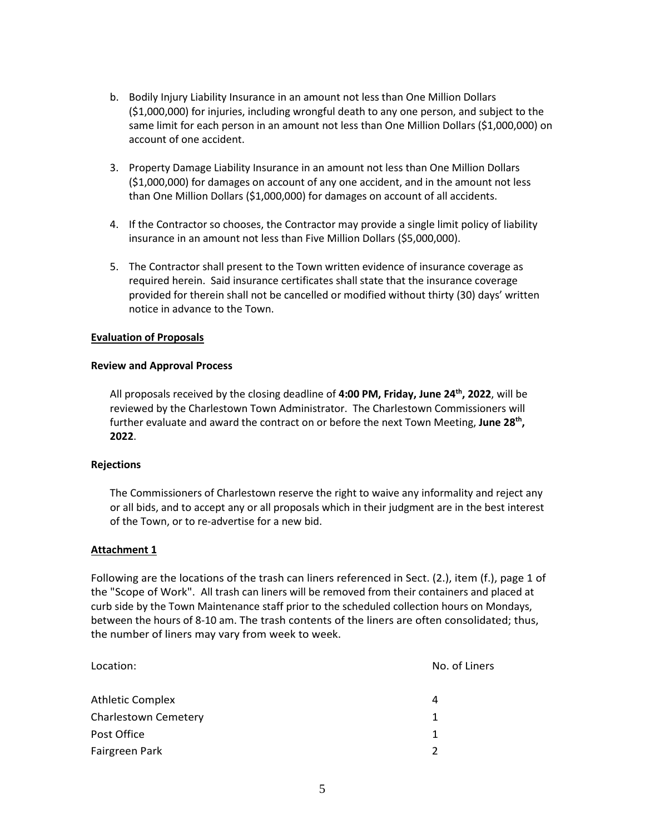- b. Bodily Injury Liability Insurance in an amount not less than One Million Dollars (\$1,000,000) for injuries, including wrongful death to any one person, and subject to the same limit for each person in an amount not less than One Million Dollars (\$1,000,000) on account of one accident.
- 3. Property Damage Liability Insurance in an amount not less than One Million Dollars (\$1,000,000) for damages on account of any one accident, and in the amount not less than One Million Dollars (\$1,000,000) for damages on account of all accidents.
- 4. If the Contractor so chooses, the Contractor may provide a single limit policy of liability insurance in an amount not less than Five Million Dollars (\$5,000,000).
- 5. The Contractor shall present to the Town written evidence of insurance coverage as required herein. Said insurance certificates shall state that the insurance coverage provided for therein shall not be cancelled or modified without thirty (30) days' written notice in advance to the Town.

## **Evaluation of Proposals**

#### **Review and Approval Process**

All proposals received by the closing deadline of **4:00 PM, Friday, June 24th, 2022**, will be reviewed by the Charlestown Town Administrator. The Charlestown Commissioners will further evaluate and award the contract on or before the next Town Meeting, **June 28th, 2022**.

#### **Rejections**

The Commissioners of Charlestown reserve the right to waive any informality and reject any or all bids, and to accept any or all proposals which in their judgment are in the best interest of the Town, or to re-advertise for a new bid.

## **Attachment 1**

Following are the locations of the trash can liners referenced in Sect. (2.), item (f.), page 1 of the "Scope of Work". All trash can liners will be removed from their containers and placed at curb side by the Town Maintenance staff prior to the scheduled collection hours on Mondays, between the hours of 8-10 am. The trash contents of the liners are often consolidated; thus, the number of liners may vary from week to week.

| Location:               | No. of Liners |
|-------------------------|---------------|
| <b>Athletic Complex</b> | 4             |
| Charlestown Cemetery    | 1             |
| Post Office             | 1             |
| Fairgreen Park          | 2             |